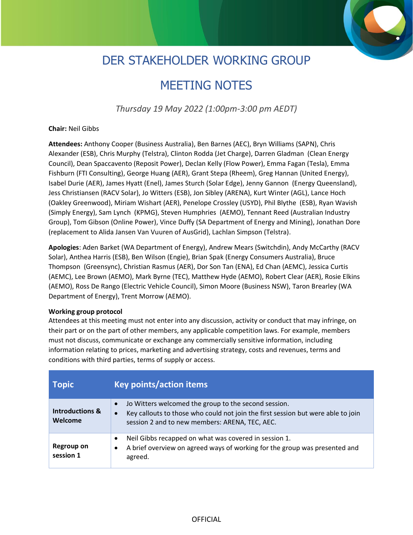## DER STAKEHOLDER WORKING GROUP

## MEETING NOTES

*Thursday 19 May 2022 (1:00pm-3:00 pm AEDT)*

## **Chair:** Neil Gibbs

**Attendees:** Anthony Cooper (Business Australia), Ben Barnes (AEC), Bryn Williams (SAPN), Chris Alexander (ESB), Chris Murphy (Telstra), Clinton Rodda (Jet Charge), Darren Gladman (Clean Energy Council), Dean Spaccavento (Reposit Power), Declan Kelly (Flow Power), Emma Fagan (Tesla), Emma Fishburn (FTI Consulting), George Huang (AER), Grant Stepa (Rheem), Greg Hannan (United Energy), Isabel Durie (AER), James Hyatt (Enel), James Sturch (Solar Edge), Jenny Gannon (Energy Queensland), Jess Christiansen (RACV Solar), Jo Witters (ESB), Jon Sibley (ARENA), Kurt Winter (AGL), Lance Hoch (Oakley Greenwood), Miriam Wishart (AER), Penelope Crossley (USYD), Phil Blythe (ESB), Ryan Wavish (Simply Energy), Sam Lynch (KPMG), Steven Humphries (AEMO), Tennant Reed (Australian Industry Group), Tom Gibson (Online Power), Vince Duffy (SA Department of Energy and Mining), Jonathan Dore (replacement to Alida Jansen Van Vuuren of AusGrid), Lachlan Simpson (Telstra).

**Apologies**: Aden Barket (WA Department of Energy), Andrew Mears (Switchdin), Andy McCarthy (RACV Solar), Anthea Harris (ESB), Ben Wilson (Engie), Brian Spak (Energy Consumers Australia), Bruce Thompson (Greensync), Christian Rasmus (AER), Dor Son Tan (ENA), Ed Chan (AEMC), Jessica Curtis (AEMC), Lee Brown (AEMO), Mark Byrne (TEC), Matthew Hyde (AEMO), Robert Clear (AER), Rosie Elkins (AEMO), Ross De Rango (Electric Vehicle Council), Simon Moore (Business NSW), Taron Brearley (WA Department of Energy), Trent Morrow (AEMO).

## **Working group protocol**

Attendees at this meeting must not enter into any discussion, activity or conduct that may infringe, on their part or on the part of other members, any applicable competition laws. For example, members must not discuss, communicate or exchange any commercially sensitive information, including information relating to prices, marketing and advertising strategy, costs and revenues, terms and conditions with third parties, terms of supply or access.

| <b>Topic</b>                          | Key points/action items                                                                                                                                                                                              |
|---------------------------------------|----------------------------------------------------------------------------------------------------------------------------------------------------------------------------------------------------------------------|
| <b>Introductions &amp;</b><br>Welcome | Jo Witters welcomed the group to the second session.<br>$\bullet$<br>Key callouts to those who could not join the first session but were able to join<br>$\bullet$<br>session 2 and to new members: ARENA, TEC, AEC. |
| Regroup on<br>session 1               | Neil Gibbs recapped on what was covered in session 1.<br>$\bullet$<br>A brief overview on agreed ways of working for the group was presented and<br>$\bullet$<br>agreed.                                             |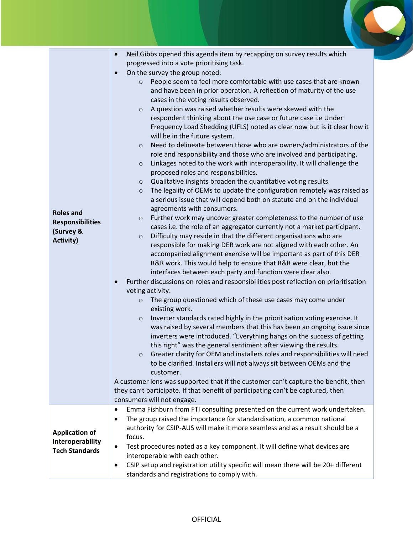| <b>Roles and</b><br><b>Responsibilities</b><br>(Survey &<br><b>Activity)</b> | Neil Gibbs opened this agenda item by recapping on survey results which<br>$\bullet$<br>progressed into a vote prioritising task.<br>On the survey the group noted:<br>$\bullet$<br>People seem to feel more comfortable with use cases that are known<br>$\circ$<br>and have been in prior operation. A reflection of maturity of the use<br>cases in the voting results observed.<br>A question was raised whether results were skewed with the<br>$\circ$<br>respondent thinking about the use case or future case i.e Under<br>Frequency Load Shedding (UFLS) noted as clear now but is it clear how it<br>will be in the future system.<br>Need to delineate between those who are owners/administrators of the<br>$\circ$<br>role and responsibility and those who are involved and participating.<br>Linkages noted to the work with interoperability. It will challenge the<br>$\circ$<br>proposed roles and responsibilities.<br>Qualitative insights broaden the quantitative voting results.<br>$\circ$<br>The legality of OEMs to update the configuration remotely was raised as<br>$\circ$<br>a serious issue that will depend both on statute and on the individual<br>agreements with consumers.<br>Further work may uncover greater completeness to the number of use<br>$\circ$<br>cases i.e. the role of an aggregator currently not a market participant.<br>Difficulty may reside in that the different organisations who are<br>$\circ$<br>responsible for making DER work are not aligned with each other. An<br>accompanied alignment exercise will be important as part of this DER<br>R&R work. This would help to ensure that R&R were clear, but the<br>interfaces between each party and function were clear also.<br>Further discussions on roles and responsibilities post reflection on prioritisation<br>$\bullet$<br>voting activity:<br>The group questioned which of these use cases may come under<br>$\circ$<br>existing work.<br>Inverter standards rated highly in the prioritisation voting exercise. It<br>$\circ$<br>was raised by several members that this has been an ongoing issue since<br>inverters were introduced. "Everything hangs on the success of getting<br>this right" was the general sentiment after viewing the results.<br>Greater clarity for OEM and installers roles and responsibilities will need<br>$\circ$<br>to be clarified. Installers will not always sit between OEMs and the<br>customer.<br>A customer lens was supported that if the customer can't capture the benefit, then<br>they can't participate. If that benefit of participating can't be captured, then |
|------------------------------------------------------------------------------|------------------------------------------------------------------------------------------------------------------------------------------------------------------------------------------------------------------------------------------------------------------------------------------------------------------------------------------------------------------------------------------------------------------------------------------------------------------------------------------------------------------------------------------------------------------------------------------------------------------------------------------------------------------------------------------------------------------------------------------------------------------------------------------------------------------------------------------------------------------------------------------------------------------------------------------------------------------------------------------------------------------------------------------------------------------------------------------------------------------------------------------------------------------------------------------------------------------------------------------------------------------------------------------------------------------------------------------------------------------------------------------------------------------------------------------------------------------------------------------------------------------------------------------------------------------------------------------------------------------------------------------------------------------------------------------------------------------------------------------------------------------------------------------------------------------------------------------------------------------------------------------------------------------------------------------------------------------------------------------------------------------------------------------------------------------------------------------------------------------------------------------------------------------------------------------------------------------------------------------------------------------------------------------------------------------------------------------------------------------------------------------------------------------------------------------------------------------------------------------------------------------------------------------------------------------------------------------------------------------------------------------------|
|                                                                              | consumers will not engage.                                                                                                                                                                                                                                                                                                                                                                                                                                                                                                                                                                                                                                                                                                                                                                                                                                                                                                                                                                                                                                                                                                                                                                                                                                                                                                                                                                                                                                                                                                                                                                                                                                                                                                                                                                                                                                                                                                                                                                                                                                                                                                                                                                                                                                                                                                                                                                                                                                                                                                                                                                                                                     |
| <b>Application of</b><br>Interoperability<br><b>Tech Standards</b>           | Emma Fishburn from FTI consulting presented on the current work undertaken.<br>$\bullet$<br>The group raised the importance for standardisation, a common national<br>٠<br>authority for CSIP-AUS will make it more seamless and as a result should be a<br>focus.<br>Test procedures noted as a key component. It will define what devices are<br>$\bullet$<br>interoperable with each other.<br>CSIP setup and registration utility specific will mean there will be 20+ different<br>$\bullet$<br>standards and registrations to comply with.                                                                                                                                                                                                                                                                                                                                                                                                                                                                                                                                                                                                                                                                                                                                                                                                                                                                                                                                                                                                                                                                                                                                                                                                                                                                                                                                                                                                                                                                                                                                                                                                                                                                                                                                                                                                                                                                                                                                                                                                                                                                                               |

 $\bullet$